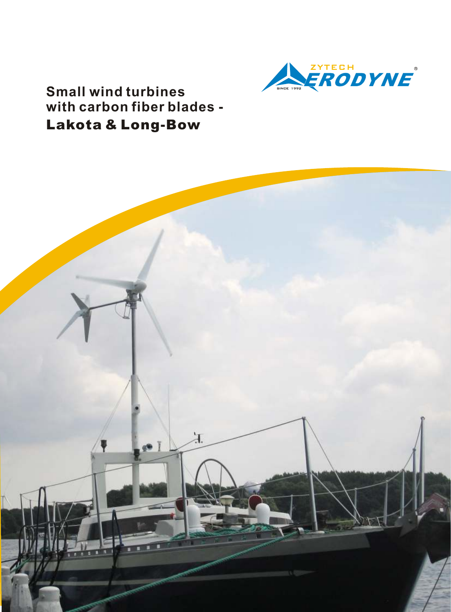

**Small wind turbines with carbon fiber blades - Lakota & Long-Bow**

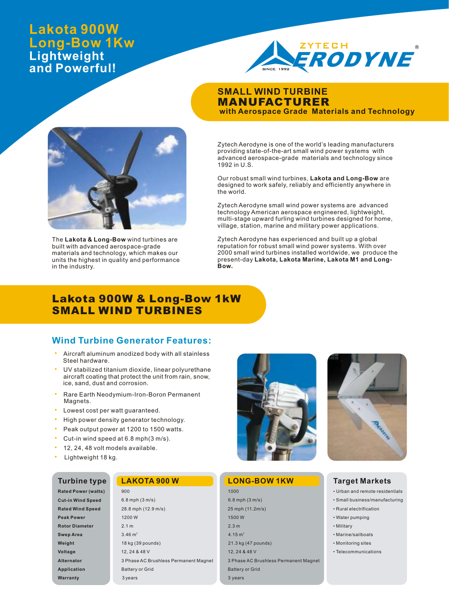# **Lakota 900W Long-Bow 1Kw Lightweight and Powerful!**



### **SMALL WIND TURBINE MANUFACTURER with Aerospace Grade Materials and Technology**



Our robust small wind turbines, **Lakota and Long-Bow** are designed to work safely, reliably and efficiently anywhere in the world.

Zytech Aerodyne small wind power systems are advanced technology American aerospace engineered, lightweight, multi-stage upward furling wind turbines designed for home, village, station, marine and military power applications.

Zytech Aerodyne has experienced and built up a global reputation for robust small wind power systems. With over 2000 small wind turbines installed worldwide, we produce the present-day **Lakota, Lakota Marine, Lakota M1 and Long-Bow.** 

# **Lakota 900W & Long-Bow 1kW SMALL WIND TURBINES**

### **Wind Turbine Generator Features:**

- Aircraft aluminum anodized body with all stainless Steel hardware.
- UV stabilized titanium dioxide, linear polyurethane aircraft coating that protect the unit from rain, snow, ice, sand, dust and corrosion.
- Rare Earth Neodymium-Iron-Boron Permanent Magnets.
- · Lowest cost per watt guaranteed.
- · High power density generator technology.
- · Peak output power at 1200 to 1500 watts.
- Cut-in wind speed at 6.8 mph(3 m/s).
- · 12, 24, 48 volt models available.
- · Lightweight 18 kg.

### **Turbine type**

| <b>Rated Power (watts)</b> |
|----------------------------|
| <b>Cut-in Wind Speed</b>   |
| <b>Rated Wind Speed</b>    |
| <b>Peak Power</b>          |
| <b>Rotor Diameter</b>      |
| <b>Swep Area</b>           |
| Weight                     |
| Voltage                    |
| Alternator                 |
| <b>Application</b>         |
| Warranty                   |



| 900                                   |  |
|---------------------------------------|--|
| $6.8$ mph $(3 \text{ m/s})$           |  |
| 28.8 mph (12.9 m/s)                   |  |
| 1200 W                                |  |
| 2.1 <sub>m</sub>                      |  |
| $3.46 \text{ m}^2$                    |  |
| 18 kg (39 pounds)                     |  |
| 12, 24 & 48 V                         |  |
| 3 Phase AC Brushless Permanent Magnet |  |
| <b>Battery or Grid</b>                |  |
| 3 years                               |  |
|                                       |  |



### **LAKOTA 900 W LONG-BOW 1KW**

| 1000                                  |  |  |  |  |  |
|---------------------------------------|--|--|--|--|--|
| 6.8 mph $(3 \text{ m/s})$             |  |  |  |  |  |
| 25 mph (11.2m/s)                      |  |  |  |  |  |
| 1500 W                                |  |  |  |  |  |
| 2.3 <sub>m</sub>                      |  |  |  |  |  |
| 4.15 $m2$                             |  |  |  |  |  |
| 21.3 kg (47 pounds)                   |  |  |  |  |  |
| 12, 24 & 48 V                         |  |  |  |  |  |
| 3 Phase AC Brushless Permanent Magnet |  |  |  |  |  |
| <b>Battery or Grid</b>                |  |  |  |  |  |
| 3 years                               |  |  |  |  |  |
|                                       |  |  |  |  |  |

### **Target Markets**

- Urban and remote residentials
- Small business/manufacturing
- Rural electrification
- Water pumping • Military
- 
- Marine/sailboats • Monitoring sites
- Telecommunications
- 



The **Lakota & Long-Bow** wind turbines are built with advanced aerospace-grade materials and technology, which makes our units the highest in quality and performance in the industry.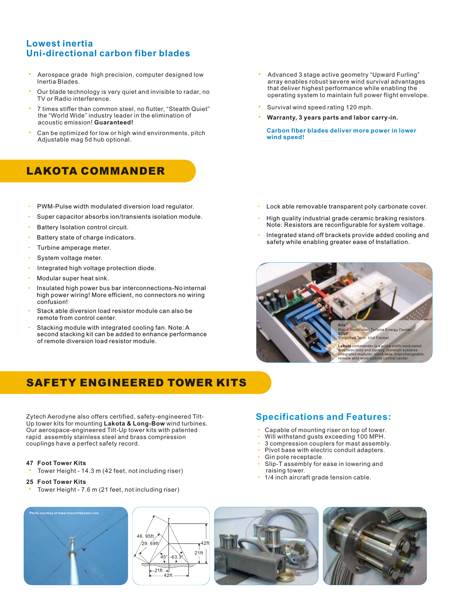# **Lowest inertia Uni-directional carbon fiber blades**

- Aerospace grade high precision, computer designed low Inertia Blades.
- Our blade technology is very quiet and invisible to radar, no TV or Radio interference.
- · 7 times stiffer than common steel, no flutter, "Stealth Quiet" the "World Wide" industry leader in the elimination of acoustic emission! **Guaranteed!**
- Can be optimized for low or high wind environments, pitch Adjustable mag 5d hub optional.

# **LAKOTA COMMANDER**

- · PWM-Pulse width modulated diversion load regulator.
- · Super capacitor absorbs ion/transients isolation module.
- Battery Isolation control circuit.
- Battery state of charge indicators.
- Turbine amperage meter.
- System voltage meter.
- · Integrated high voltage protection diode.
- Modular super heat sink.
- Insulated high power bus bar interconnections-No internal high power wiring! More efficient, no connectors no wiring confusion! ·
- Stack able diversion load resistor module can also be remote from control center.
- Stacking module with integrated cooling fan. Note: A second stacking kit can be added to enhance performance of remote diversion load resistor module.
- · Advanced 3 stage active geometry "Upward Furling" array enables robust severe wind survival advantages that deliver highest performance while enabling the operating system to maintain full power flight envelope.
- Survival wind speed rating 120 mph.
- · **Warranty, 3 years parts and labor carry-in.** 
	- **Carbon fiber blades deliver more power in lower wind speed!**

- Lock able removable transparent poly carbonate cover.
- High quality industrial grade ceramic braking resistors. Note: Resistors are reconfigurable for system voltage. ·
- Integrated stand off brackets provide added cooling and safety while enabling greater ease of Installation. ·



# **SAFETY ENGINEERED TOWER KITS**

Zytech Aerodyne also offers certified, safety-engineered Tilt-Up tower kits for mounting **Lakota & Long-Bow** wind turbines. Our aerospace-engineered Tilt-Up tower kits with patented rapid assembly stainless steel and brass compression couplings have a perfect safety record.

#### **47 Foot Tower Kits**

- Tower Height 14.3 m (42 feet, not including riser)
- **25 Foot Tower Kits**
- Tower Height 7.6 m (21 feet, not including riser)

# **Specifications and Features:**

- Capable of mounting riser on top of tower. ·
- Will withstand gusts exceeding 100 MPH. ·
- 3 compression couplers for mast assembly. ·
- Pivot base with electric conduit adapters. ·
- Gin pole receptacle. ·
- Slip-T assembly for ease in lowering and raising tower. ·
- 1/4 inch aircraft grade tension cable. ·







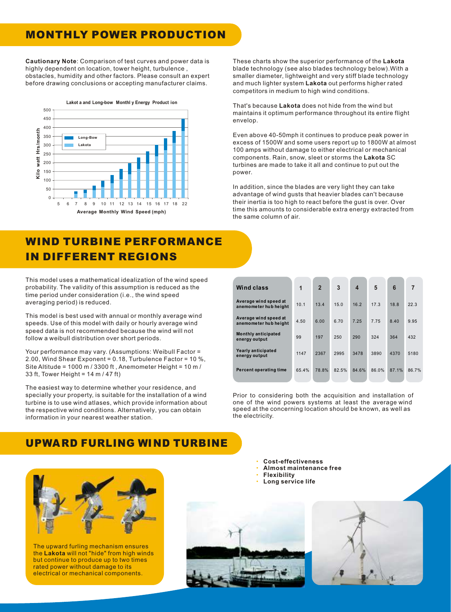# **MONTHLY POWER PRODUCTION**

**Cautionary Note**: Comparison of test curves and power data is highly dependent on location, tower height, turbulence , obstacles, humidity and other factors. Please consult an expert before drawing conclusions or accepting manufacturer claims.



# **WIND TURBINE PERFORMANCE IN DIFFERENT REGIONS**

This model uses a mathematical idealization of the wind speed probability. The validity of this assumption is reduced as the time period under consideration (i.e., the wind speed averaging period) is reduced.

This model is best used with annual or monthly average wind speeds. Use of this model with daily or hourly average wind speed data is not recommended because the wind will not follow a weibull distribution over short periods.

Your performance may vary. (Assumptions: Weibull Factor = 2.00, Wind Shear Exponent = 0.18, Turbulence Factor = 10 %, Site Altitude = 1000 m / 3300 ft , Anemometer Height = 10 m / 33 ft, Tower Height = 14 m / 47 ft)

The easiest way to determine whether your residence, and specially your property, is suitable for the installation of a wind turbine is to use wind atlases, which provide information about the respective wind conditions. Alternatively, you can obtain information in your nearest weather station.

# **UPWA RD FURLING WIND TURBINE**

The upward furling mechanism ensures the **Lakota** will not "hide" from high winds but continue to produce up to two times rated power without damage to its electrical or mechanical components.



These charts show the superior performance of the **Lakota** blade technology (see also blades technology below).With a smaller diameter, lightweight and very stiff blade technology and much lighter system **Lakota** out performs higher rated competitors in medium to high wind conditions.

That's because **Lakota** does not hide from the wind but maintains it optimum performance throughout its entire flight envelop.

Even above 40-50mph it continues to produce peak power in excess of 1500W and some users report up to 1800W at almost 100 amps without damage to either electrical or mechanical components. Rain, snow, sleet or storms the **Lakota** SC turbines are made to take it all and continue to put out the power.

In addition, since the blades are very light they can take advantage of wind gusts that heavier blades can't because their inertia is too high to react before the gust is over. Over time this amounts to considerable extra energy extracted from the same column of air.

| Wind class                                     | 1     | $\overline{2}$ | 3     | $\boldsymbol{4}$ | 5     | 6     | $\overline{7}$ |
|------------------------------------------------|-------|----------------|-------|------------------|-------|-------|----------------|
| Average wind speed at<br>anemometer hub height | 10.1  | 13.4           | 15.0  | 16.2             | 17.3  | 18.8  | 22.3           |
| Average wind speed at<br>anemometer hub height | 4.50  | 6.00           | 6.70  | 7.25             | 7.75  | 8.40  | 9.95           |
| Monthly anticipated<br>energy output           | 99    | 197            | 250   | 290              | 324   | 364   | 432            |
| Yearly anticipated<br>energy output            | 1147  | 2367           | 2995  | 3478             | 3890  | 4370  | 5180           |
| <b>Percent operating time</b>                  | 65.4% | 78.8%          | 82.5% | 84.6%            | 86.0% | 87.1% | 86.7%          |

Prior to considering both the acquisition and installation of one of the wind powers systems at least the average wind speed at the concerning location should be known, as well as the electricity.

> · **Cost-effectiveness**

- · **Almost maintenance free**
- · **Flexibility**
- · **Long service life**

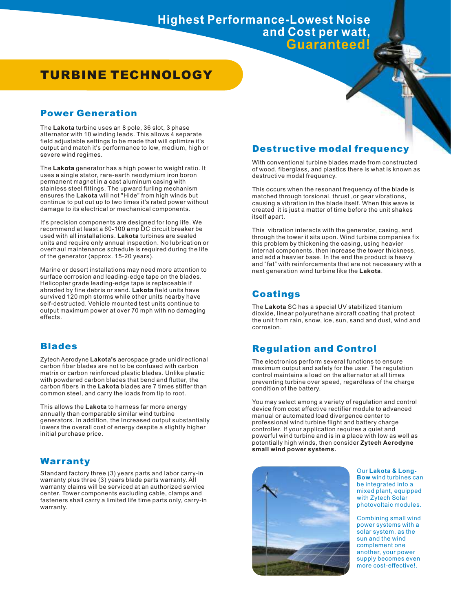# **TURBINE TECHNOLOGY**

## **Power Generation**

The **Lakota** turbine uses an 8 pole, 36 slot, 3 phase alternator with 10 winding leads. This allows 4 separate field adjustable settings to be made that will optimize it's output and match it's performance to low, medium, high or severe wind regimes.

The **Lakota** generator has a high power to weight ratio. It uses a single stator, rare-earth neodymium iron boron permanent magnet in a cast aluminum casing with stainless steel fittings. The upward furling mechanism ensures the **Lakota** will not "Hide" from high winds but continue to put out up to two times it's rated power without damage to its electrical or mechanical components.

It's precision components are designed for long life. We recommend at least a 60-100 amp DC circuit breaker be used with all installations. **Lakota** turbines are sealed units and require only annual inspection. No lubrication or overhaul maintenance schedule is required during the life of the generator (approx. 15-20 years).

Marine or desert installations may need more attention to surface corrosion and leading-edge tape on the blades. Helicopter grade leading-edge tape is replaceable if abraded by fine debris or sand. **Lakota** field units have survived 120 mph storms while other units nearby have self-destructed. Vehicle mounted test units continue to output maximum power at over 70 mph with no damaging effects.

# **Blades**

Zytech Aerodyne **Lakota's** aerospace grade unidirectional carbon fiber blades are not to be confused with carbon matrix or carbon reinforced plastic blades. Unlike plastic with powdered carbon blades that bend and flutter, the carbon fibers in the **Lakota** blades are 7 times stiffer than common steel, and carry the loads from tip to root.

This allows the **Lakota** to harness far more energy annually than comparable similar wind turbine generators. In addition, the Increased output substantially lowers the overall cost of energy despite a slightly higher initial purchase price.

# **Warranty**

Standard factory three (3) years parts and labor carry-in warranty plus three (3) years blade parts warranty. All warranty claims will be serviced at an authorized service center. Tower components excluding cable, clamps and fasteners shall carry a limited life time parts only, carry-in warranty.

### **Destructive modal frequency**

With conventional turbine blades made from constructed of wood, fiberglass, and plastics there is what is known as destructive modal frequency.

This occurs when the resonant frequency of the blade is matched through torsional, thrust ,or gear vibrations, causing a vibration in the blade itself. When this wave is created it is just a matter of time before the unit shakes itself apart.

This vibration interacts with the generator, casing, and through the tower it sits upon. Wind turbine companies fix this problem by thickening the casing, using heavier internal components, then increase the tower thickness, and add a heavier base. In the end the product is heavy and "fat" with reinforcements that are not necessary with a next generation wind turbine like the Lakota.

# **Coatings**

The **Lakota** SC has a special UV stabilized titanium dioxide, linear polyurethane aircraft coating that protect the unit from rain, snow, ice, sun, sand and dust, wind and corrosion.

# **Regulation and Control**

The electronics perform several functions to ensure maximum output and safety for the user. The regulation control maintains a load on the alternator at all times preventing turbine over speed, regardless of the charge condition of the battery.

You may select among a variety of regulation and control device from cost effective rectifier module to advanced manual or automated load divergence center to professional wind turbine flight and battery charge controller. If your application requires a quiet and powerful wind turbine and is in a place with low as well as potentially high winds, then consider **Zytech Aerodyne small wind power systems.**



Our **Lakota & Long-Bow** wind turbines can be integrated into a mixed plant, equipped with Zytech Solar photovoltaic modules.

Combining small wind power systems with a solar system, as the sun and the wind complement one another, your power supply becomes even more cost-effective!.